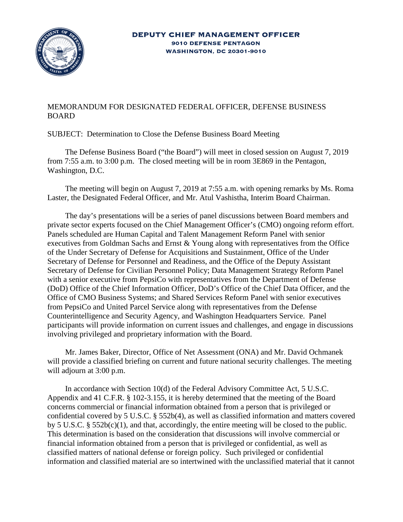

## MEMORANDUM FOR DESIGNATED FEDERAL OFFICER, DEFENSE BUSINESS BOARD

SUBJECT: Determination to Close the Defense Business Board Meeting

The Defense Business Board ("the Board") will meet in closed session on August 7, 2019 from 7:55 a.m. to 3:00 p.m. The closed meeting will be in room 3E869 in the Pentagon, Washington, D.C.

The meeting will begin on August 7, 2019 at 7:55 a.m. with opening remarks by Ms. Roma Laster, the Designated Federal Officer, and Mr. Atul Vashistha, Interim Board Chairman.

The day's presentations will be a series of panel discussions between Board members and private sector experts focused on the Chief Management Officer's (CMO) ongoing reform effort. Panels scheduled are Human Capital and Talent Management Reform Panel with senior executives from Goldman Sachs and Ernst & Young along with representatives from the Office of the Under Secretary of Defense for Acquisitions and Sustainment, Office of the Under Secretary of Defense for Personnel and Readiness, and the Office of the Deputy Assistant Secretary of Defense for Civilian Personnel Policy; Data Management Strategy Reform Panel with a senior executive from PepsiCo with representatives from the Department of Defense (DoD) Office of the Chief Information Officer, DoD's Office of the Chief Data Officer, and the Office of CMO Business Systems; and Shared Services Reform Panel with senior executives from PepsiCo and United Parcel Service along with representatives from the Defense Counterintelligence and Security Agency, and Washington Headquarters Service. Panel participants will provide information on current issues and challenges, and engage in discussions involving privileged and proprietary information with the Board.

Mr. James Baker, Director, Office of Net Assessment (ONA) and Mr. David Ochmanek will provide a classified briefing on current and future national security challenges. The meeting will adjourn at 3:00 p.m.

In accordance with Section 10(d) of the Federal Advisory Committee Act, 5 U.S.C. Appendix and 41 C.F.R. § 102-3.155, it is hereby determined that the meeting of the Board concerns commercial or financial information obtained from a person that is privileged or confidential covered by 5 U.S.C. § 552b(4), as well as classified information and matters covered by 5 U.S.C. § 552b(c)(1), and that, accordingly, the entire meeting will be closed to the public. This determination is based on the consideration that discussions will involve commercial or financial information obtained from a person that is privileged or confidential, as well as classified matters of national defense or foreign policy. Such privileged or confidential information and classified material are so intertwined with the unclassified material that it cannot